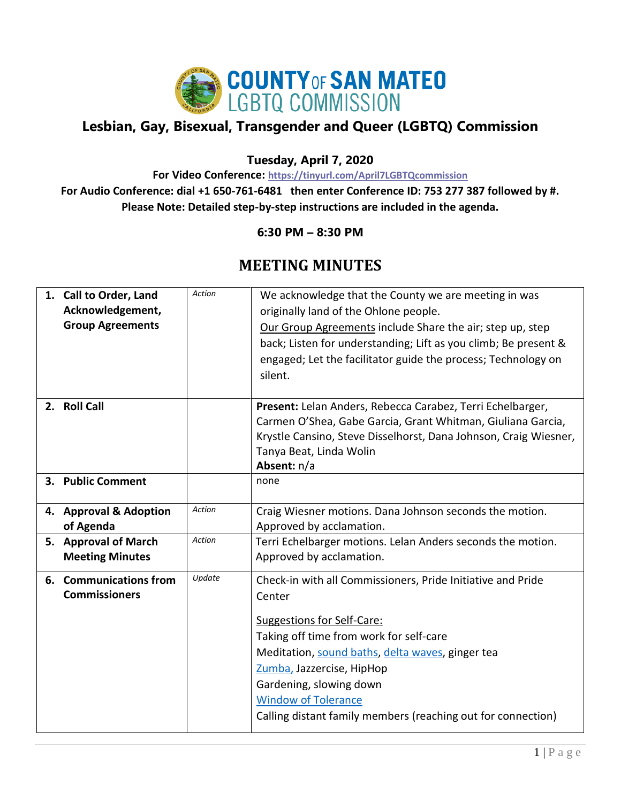

## **Lesbian, Gay, Bisexual, Transgender and Queer (LGBTQ) Commission**

## **Tuesday, April 7, 2020**

**For Video Conference: <https://tinyurl.com/April7LGBTQcommission>**

**For Audio Conference: dial +1 650-761-6481 then enter Conference ID: 753 277 387 followed by #. Please Note: Detailed step-by-step instructions are included in the agenda.**

## **6:30 PM – 8:30 PM**

## **MEETING MINUTES**

| 1. Call to Order, Land<br>Acknowledgement,<br><b>Group Agreements</b> | Action | We acknowledge that the County we are meeting in was<br>originally land of the Ohlone people.<br>Our Group Agreements include Share the air; step up, step<br>back; Listen for understanding; Lift as you climb; Be present &<br>engaged; Let the facilitator guide the process; Technology on<br>silent.                                                       |
|-----------------------------------------------------------------------|--------|-----------------------------------------------------------------------------------------------------------------------------------------------------------------------------------------------------------------------------------------------------------------------------------------------------------------------------------------------------------------|
| 2. Roll Call                                                          |        | Present: Lelan Anders, Rebecca Carabez, Terri Echelbarger,<br>Carmen O'Shea, Gabe Garcia, Grant Whitman, Giuliana Garcia,<br>Krystle Cansino, Steve Disselhorst, Dana Johnson, Craig Wiesner,<br>Tanya Beat, Linda Wolin<br>Absent: n/a                                                                                                                         |
| 3. Public Comment                                                     |        | none                                                                                                                                                                                                                                                                                                                                                            |
| 4. Approval & Adoption<br>of Agenda                                   | Action | Craig Wiesner motions. Dana Johnson seconds the motion.<br>Approved by acclamation.                                                                                                                                                                                                                                                                             |
| 5. Approval of March<br><b>Meeting Minutes</b>                        | Action | Terri Echelbarger motions. Lelan Anders seconds the motion.<br>Approved by acclamation.                                                                                                                                                                                                                                                                         |
| 6. Communications from<br><b>Commissioners</b>                        | Update | Check-in with all Commissioners, Pride Initiative and Pride<br>Center<br><b>Suggestions for Self-Care:</b><br>Taking off time from work for self-care<br>Meditation, sound baths, delta waves, ginger tea<br>Zumba, Jazzercise, HipHop<br>Gardening, slowing down<br><b>Window of Tolerance</b><br>Calling distant family members (reaching out for connection) |